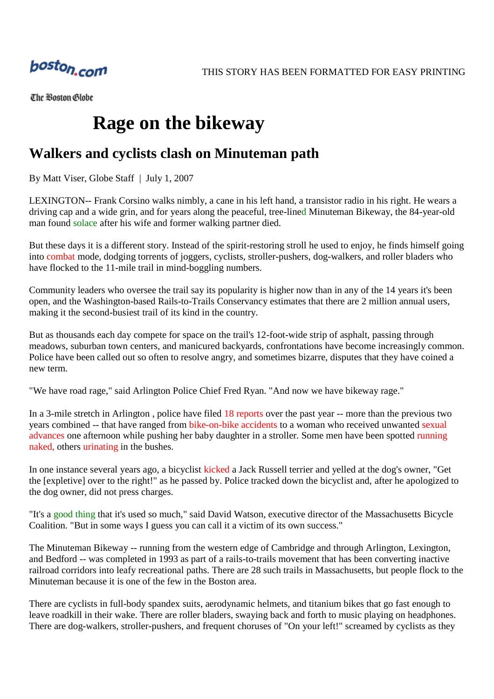

The Boston Globe

## **Rage on the bikeway**

## **Walkers and cyclists clash on Minuteman path**

By Matt Viser, Globe Staff | July 1, 2007

LEXINGTON-- Frank Corsino walks nimbly, a cane in his left hand, a transistor radio in his right. He wears a driving cap and a wide grin, and for years along the peaceful, tree-lined Minuteman Bikeway, the 84-year-old man found solace after his wife and former walking partner died.

But these days it is a different story. Instead of the spirit-restoring stroll he used to enjoy, he finds himself going into combat mode, dodging torrents of joggers, cyclists, stroller-pushers, dog-walkers, and roller bladers who have flocked to the 11-mile trail in mind-boggling numbers.

Community leaders who oversee the trail say its popularity is higher now than in any of the 14 years it's been open, and the Washington-based Rails-to-Trails Conservancy estimates that there are 2 million annual users, making it the second-busiest trail of its kind in the country.

But as thousands each day compete for space on the trail's 12-foot-wide strip of asphalt, passing through meadows, suburban town centers, and manicured backyards, confrontations have become increasingly common. Police have been called out so often to resolve angry, and sometimes bizarre, disputes that they have coined a new term.

"We have road rage," said Arlington Police Chief Fred Ryan. "And now we have bikeway rage."

In a 3-mile stretch in Arlington , police have filed 18 reports over the past year -- more than the previous two years combined -- that have ranged from bike-on-bike accidents to a woman who received unwanted sexual advances one afternoon while pushing her baby daughter in a stroller. Some men have been spotted running naked, others urinating in the bushes.

In one instance several years ago, a bicyclist kicked a Jack Russell terrier and yelled at the dog's owner, "Get the [expletive] over to the right!" as he passed by. Police tracked down the bicyclist and, after he apologized to the dog owner, did not press charges.

"It's a good thing that it's used so much," said David Watson, executive director of the Massachusetts Bicycle Coalition. "But in some ways I guess you can call it a victim of its own success."

The Minuteman Bikeway -- running from the western edge of Cambridge and through Arlington, Lexington, and Bedford -- was completed in 1993 as part of a rails-to-trails movement that has been converting inactive railroad corridors into leafy recreational paths. There are 28 such trails in Massachusetts, but people flock to the Minuteman because it is one of the few in the Boston area.

There are cyclists in full-body spandex suits, aerodynamic helmets, and titanium bikes that go fast enough to leave roadkill in their wake. There are roller bladers, swaying back and forth to music playing on headphones. There are dog-walkers, stroller-pushers, and frequent choruses of "On your left!" screamed by cyclists as they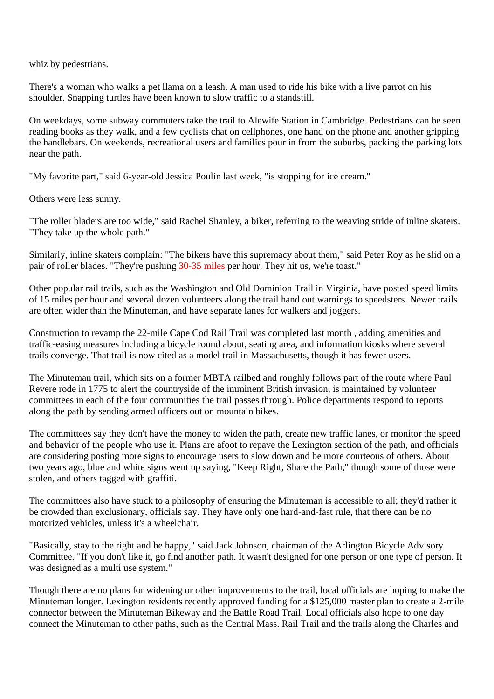whiz by pedestrians.

There's a woman who walks a pet llama on a leash. A man used to ride his bike with a live parrot on his shoulder. Snapping turtles have been known to slow traffic to a standstill.

On weekdays, some subway commuters take the trail to Alewife Station in Cambridge. Pedestrians can be seen reading books as they walk, and a few cyclists chat on cellphones, one hand on the phone and another gripping the handlebars. On weekends, recreational users and families pour in from the suburbs, packing the parking lots near the path.

"My favorite part," said 6-year-old Jessica Poulin last week, "is stopping for ice cream."

Others were less sunny.

"The roller bladers are too wide," said Rachel Shanley, a biker, referring to the weaving stride of inline skaters. "They take up the whole path."

Similarly, inline skaters complain: "The bikers have this supremacy about them," said Peter Roy as he slid on a pair of roller blades. "They're pushing 30-35 miles per hour. They hit us, we're toast."

Other popular rail trails, such as the Washington and Old Dominion Trail in Virginia, have posted speed limits of 15 miles per hour and several dozen volunteers along the trail hand out warnings to speedsters. Newer trails are often wider than the Minuteman, and have separate lanes for walkers and joggers.

Construction to revamp the 22-mile Cape Cod Rail Trail was completed last month , adding amenities and traffic-easing measures including a bicycle round about, seating area, and information kiosks where several trails converge. That trail is now cited as a model trail in Massachusetts, though it has fewer users.

The Minuteman trail, which sits on a former MBTA railbed and roughly follows part of the route where Paul Revere rode in 1775 to alert the countryside of the imminent British invasion, is maintained by volunteer committees in each of the four communities the trail passes through. Police departments respond to reports along the path by sending armed officers out on mountain bikes.

The committees say they don't have the money to widen the path, create new traffic lanes, or monitor the speed and behavior of the people who use it. Plans are afoot to repave the Lexington section of the path, and officials are considering posting more signs to encourage users to slow down and be more courteous of others. About two years ago, blue and white signs went up saying, "Keep Right, Share the Path," though some of those were stolen, and others tagged with graffiti.

The committees also have stuck to a philosophy of ensuring the Minuteman is accessible to all; they'd rather it be crowded than exclusionary, officials say. They have only one hard-and-fast rule, that there can be no motorized vehicles, unless it's a wheelchair.

"Basically, stay to the right and be happy," said Jack Johnson, chairman of the Arlington Bicycle Advisory Committee. "If you don't like it, go find another path. It wasn't designed for one person or one type of person. It was designed as a multi use system."

Though there are no plans for widening or other improvements to the trail, local officials are hoping to make the Minuteman longer. Lexington residents recently approved funding for a \$125,000 master plan to create a 2-mile connector between the Minuteman Bikeway and the Battle Road Trail. Local officials also hope to one day connect the Minuteman to other paths, such as the Central Mass. Rail Trail and the trails along the Charles and